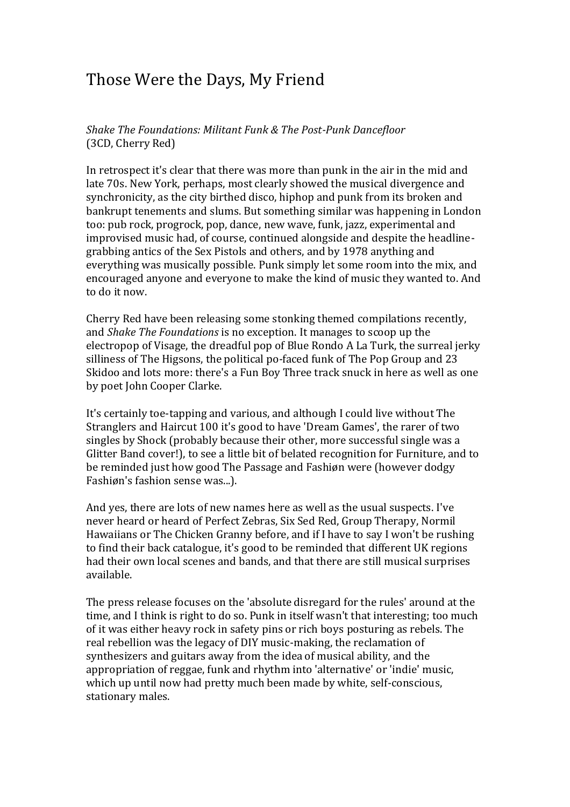## Those Were the Days, My Friend

*Shake The Foundations: Militant Funk & The Post-Punk Dancefloor* (3CD, Cherry Red)

In retrospect it's clear that there was more than punk in the air in the mid and late 70s. New York, perhaps, most clearly showed the musical divergence and synchronicity, as the city birthed disco, hiphop and punk from its broken and bankrupt tenements and slums. But something similar was happening in London too: pub rock, progrock, pop, dance, new wave, funk, jazz, experimental and improvised music had, of course, continued alongside and despite the headlinegrabbing antics of the Sex Pistols and others, and by 1978 anything and everything was musically possible. Punk simply let some room into the mix, and encouraged anyone and everyone to make the kind of music they wanted to. And to do it now.

Cherry Red have been releasing some stonking themed compilations recently, and *Shake The Foundations* is no exception. It manages to scoop up the electropop of Visage, the dreadful pop of Blue Rondo A La Turk, the surreal jerky silliness of The Higsons, the political po-faced funk of The Pop Group and 23 Skidoo and lots more: there's a Fun Boy Three track snuck in here as well as one by poet John Cooper Clarke.

It's certainly toe-tapping and various, and although I could live without The Stranglers and Haircut 100 it's good to have 'Dream Games', the rarer of two singles by Shock (probably because their other, more successful single was a Glitter Band cover!), to see a little bit of belated recognition for Furniture, and to be reminded just how good The Passage and Fashiøn were (however dodgy Fashiøn's fashion sense was...).

And yes, there are lots of new names here as well as the usual suspects. I've never heard or heard of Perfect Zebras, Six Sed Red, Group Therapy, Normil Hawaiians or The Chicken Granny before, and if I have to say I won't be rushing to find their back catalogue, it's good to be reminded that different UK regions had their own local scenes and bands, and that there are still musical surprises available.

The press release focuses on the 'absolute disregard for the rules' around at the time, and I think is right to do so. Punk in itself wasn't that interesting; too much of it was either heavy rock in safety pins or rich boys posturing as rebels. The real rebellion was the legacy of DIY music-making, the reclamation of synthesizers and guitars away from the idea of musical ability, and the appropriation of reggae, funk and rhythm into 'alternative' or 'indie' music, which up until now had pretty much been made by white, self-conscious, stationary males.